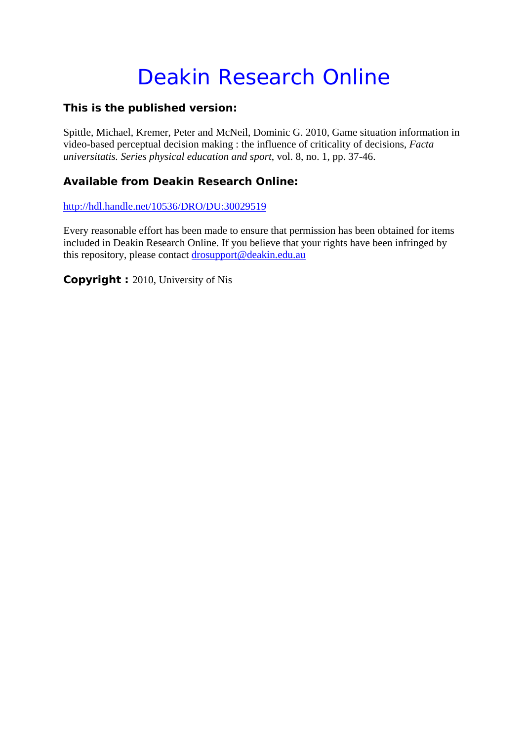# Deakin Research Online

# **This is the published version:**

Spittle, Michael, Kremer, Peter and McNeil, Dominic G. 2010, Game situation information in video-based perceptual decision making : the influence of criticality of decisions*, Facta universitatis. Series physical education and sport*, vol. 8, no. 1, pp. 37-46.

# **Available from Deakin Research Online:**

http://hdl.handle.net/10536/DRO/DU:30029519

Every reasonable effort has been made to ensure that permission has been obtained for items included in Deakin Research Online. If you believe that your rights have been infringed by this repository, please contact drosupport@deakin.edu.au

**Copyright :** 2010, University of Nis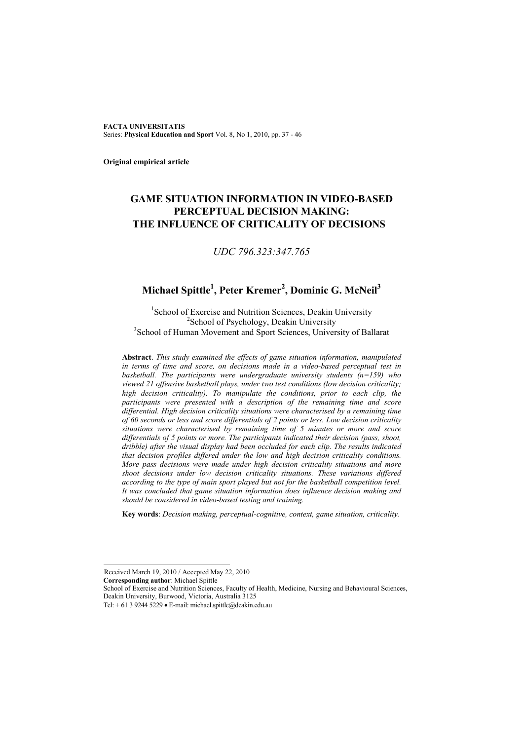**FACTA UNIVERSITATIS** Series: **Physical Education and Sport** Vol. 8, No 1, 2010, pp. 37 - 46

**Original empirical article** 

# **GAME SITUATION INFORMATION IN VIDEO-BASED PERCEPTUAL DECISION MAKING: THE INFLUENCE OF CRITICALITY OF DECISIONS**

## *UDC 796.323:347.765*

# Michael Spittle<sup>1</sup>, Peter Kremer<sup>2</sup>, Dominic G. McNeil<sup>3</sup>

<sup>1</sup>School of Exercise and Nutrition Sciences, Deakin University  $\frac{2 \text{ Scheo1 of Bawahs } log (1 \text{m} \cdot \text{Jou}/2)}{2 \text{ Scheo1 of Bawahs } log (1 \text{m} \cdot \text{Jou}/2)}$  $2$ School of Psychology, Deakin University <sup>3</sup>School of Human Movement and Sport Sciences, University of Ballarat

**Abstract**. *This study examined the effects of game situation information, manipulated in terms of time and score, on decisions made in a video-based perceptual test in basketball. The participants were undergraduate university students (n=159) who viewed 21 offensive basketball plays, under two test conditions (low decision criticality; high decision criticality). To manipulate the conditions, prior to each clip, the participants were presented with a description of the remaining time and score differential. High decision criticality situations were characterised by a remaining time of 60 seconds or less and score differentials of 2 points or less. Low decision criticality situations were characterised by remaining time of 5 minutes or more and score differentials of 5 points or more. The participants indicated their decision (pass, shoot, dribble) after the visual display had been occluded for each clip. The results indicated that decision profiles differed under the low and high decision criticality conditions. More pass decisions were made under high decision criticality situations and more shoot decisions under low decision criticality situations. These variations differed according to the type of main sport played but not for the basketball competition level. It was concluded that game situation information does influence decision making and should be considered in video-based testing and training.* 

**Key words**: *Decision making, perceptual-cognitive, context, game situation, criticality.* 

**Corresponding author**: Michael Spittle

l

School of Exercise and Nutrition Sciences, Faculty of Health, Medicine, Nursing and Behavioural Sciences, Deakin University, Burwood, Victoria, Australia 3125

Received March 19, 2010 / Accepted May 22, 2010

Tel:  $+ 61 3 9244 5229 \cdot \text{E-mail:}$  michael.spittle@deakin.edu.au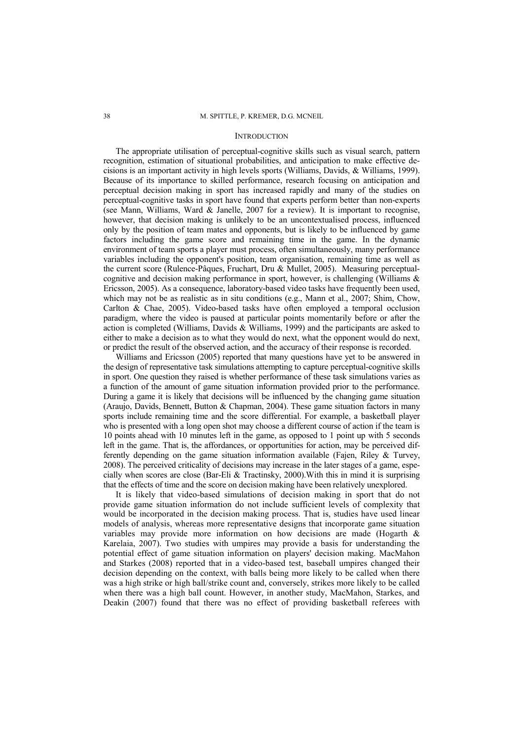#### **INTRODUCTION**

The appropriate utilisation of perceptual-cognitive skills such as visual search, pattern recognition, estimation of situational probabilities, and anticipation to make effective decisions is an important activity in high levels sports (Williams, Davids, & Williams, 1999). Because of its importance to skilled performance, research focusing on anticipation and perceptual decision making in sport has increased rapidly and many of the studies on perceptual-cognitive tasks in sport have found that experts perform better than non-experts (see Mann, Williams, Ward & Janelle, 2007 for a review). It is important to recognise, however, that decision making is unlikely to be an uncontextualised process, influenced only by the position of team mates and opponents, but is likely to be influenced by game factors including the game score and remaining time in the game. In the dynamic environment of team sports a player must process, often simultaneously, many performance variables including the opponent's position, team organisation, remaining time as well as the current score (Rulence-Pâques, Fruchart, Dru & Mullet, 2005). Measuring perceptualcognitive and decision making performance in sport, however, is challenging (Williams  $\&$ Ericsson, 2005). As a consequence, laboratory-based video tasks have frequently been used, which may not be as realistic as in situ conditions (e.g., Mann et al., 2007; Shim, Chow, Carlton & Chae, 2005). Video-based tasks have often employed a temporal occlusion paradigm, where the video is paused at particular points momentarily before or after the action is completed (Williams, Davids & Williams, 1999) and the participants are asked to either to make a decision as to what they would do next, what the opponent would do next, or predict the result of the observed action, and the accuracy of their response is recorded.

Williams and Ericsson (2005) reported that many questions have yet to be answered in the design of representative task simulations attempting to capture perceptual-cognitive skills in sport. One question they raised is whether performance of these task simulations varies as a function of the amount of game situation information provided prior to the performance. During a game it is likely that decisions will be influenced by the changing game situation (Araujo, Davids, Bennett, Button & Chapman, 2004). These game situation factors in many sports include remaining time and the score differential. For example, a basketball player who is presented with a long open shot may choose a different course of action if the team is 10 points ahead with 10 minutes left in the game, as opposed to 1 point up with 5 seconds left in the game. That is, the affordances, or opportunities for action, may be perceived differently depending on the game situation information available (Fajen, Riley & Turvey, 2008). The perceived criticality of decisions may increase in the later stages of a game, especially when scores are close (Bar-Eli  $&$  Tractinsky, 2000). With this in mind it is surprising that the effects of time and the score on decision making have been relatively unexplored.

It is likely that video-based simulations of decision making in sport that do not provide game situation information do not include sufficient levels of complexity that would be incorporated in the decision making process. That is, studies have used linear models of analysis, whereas more representative designs that incorporate game situation variables may provide more information on how decisions are made (Hogarth & Karelaia, 2007). Two studies with umpires may provide a basis for understanding the potential effect of game situation information on players' decision making. MacMahon and Starkes (2008) reported that in a video-based test, baseball umpires changed their decision depending on the context, with balls being more likely to be called when there was a high strike or high ball/strike count and, conversely, strikes more likely to be called when there was a high ball count. However, in another study, MacMahon, Starkes, and Deakin (2007) found that there was no effect of providing basketball referees with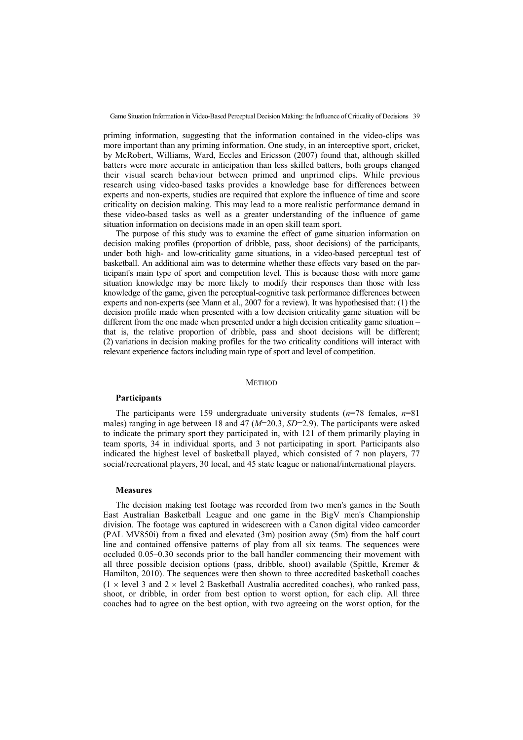priming information, suggesting that the information contained in the video-clips was more important than any priming information. One study, in an interceptive sport, cricket, by McRobert, Williams, Ward, Eccles and Ericsson (2007) found that, although skilled batters were more accurate in anticipation than less skilled batters, both groups changed their visual search behaviour between primed and unprimed clips. While previous research using video-based tasks provides a knowledge base for differences between experts and non-experts, studies are required that explore the influence of time and score criticality on decision making. This may lead to a more realistic performance demand in these video-based tasks as well as a greater understanding of the influence of game situation information on decisions made in an open skill team sport.

The purpose of this study was to examine the effect of game situation information on decision making profiles (proportion of dribble, pass, shoot decisions) of the participants, under both high- and low-criticality game situations, in a video-based perceptual test of basketball. An additional aim was to determine whether these effects vary based on the participant's main type of sport and competition level. This is because those with more game situation knowledge may be more likely to modify their responses than those with less knowledge of the game, given the perceptual-cognitive task performance differences between experts and non-experts (see Mann et al., 2007 for a review). It was hypothesised that: (1) the decision profile made when presented with a low decision criticality game situation will be different from the one made when presented under a high decision criticality game situation – that is, the relative proportion of dribble, pass and shoot decisions will be different; (2) variations in decision making profiles for the two criticality conditions will interact with relevant experience factors including main type of sport and level of competition.

#### **METHOD**

## **Participants**

The participants were 159 undergraduate university students (*n*=78 females, *n*=81 males) ranging in age between 18 and 47 (*M*=20.3, *SD*=2.9). The participants were asked to indicate the primary sport they participated in, with 121 of them primarily playing in team sports, 34 in individual sports, and 3 not participating in sport. Participants also indicated the highest level of basketball played, which consisted of 7 non players, 77 social/recreational players, 30 local, and 45 state league or national/international players.

#### **Measures**

The decision making test footage was recorded from two men's games in the South East Australian Basketball League and one game in the BigV men's Championship division. The footage was captured in widescreen with a Canon digital video camcorder (PAL MV850i) from a fixed and elevated (3m) position away (5m) from the half court line and contained offensive patterns of play from all six teams. The sequences were occluded 0.05–0.30 seconds prior to the ball handler commencing their movement with all three possible decision options (pass, dribble, shoot) available (Spittle, Kremer & Hamilton, 2010). The sequences were then shown to three accredited basketball coaches  $(1 \times \text{level } 3 \text{ and } 2 \times \text{level } 2 \text{ Basketball Australia accepted codes}),$  who ranked pass, shoot, or dribble, in order from best option to worst option, for each clip. All three coaches had to agree on the best option, with two agreeing on the worst option, for the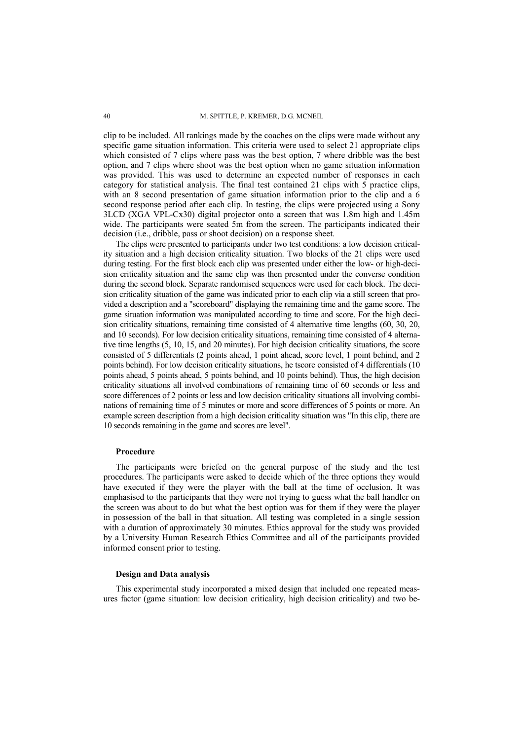clip to be included. All rankings made by the coaches on the clips were made without any specific game situation information. This criteria were used to select 21 appropriate clips which consisted of 7 clips where pass was the best option, 7 where dribble was the best option, and 7 clips where shoot was the best option when no game situation information was provided. This was used to determine an expected number of responses in each category for statistical analysis. The final test contained 21 clips with 5 practice clips, with an 8 second presentation of game situation information prior to the clip and a 6 second response period after each clip. In testing, the clips were projected using a Sony 3LCD (XGA VPL-Cx30) digital projector onto a screen that was 1.8m high and 1.45m wide. The participants were seated 5m from the screen. The participants indicated their decision (i.e., dribble, pass or shoot decision) on a response sheet.

The clips were presented to participants under two test conditions: a low decision criticality situation and a high decision criticality situation. Two blocks of the 21 clips were used during testing. For the first block each clip was presented under either the low- or high-decision criticality situation and the same clip was then presented under the converse condition during the second block. Separate randomised sequences were used for each block. The decision criticality situation of the game was indicated prior to each clip via a still screen that provided a description and a "scoreboard" displaying the remaining time and the game score. The game situation information was manipulated according to time and score. For the high decision criticality situations, remaining time consisted of 4 alternative time lengths (60, 30, 20, and 10 seconds). For low decision criticality situations, remaining time consisted of 4 alternative time lengths (5, 10, 15, and 20 minutes). For high decision criticality situations, the score consisted of 5 differentials (2 points ahead, 1 point ahead, score level, 1 point behind, and 2 points behind). For low decision criticality situations, he tscore consisted of 4 differentials (10 points ahead, 5 points ahead, 5 points behind, and 10 points behind). Thus, the high decision criticality situations all involved combinations of remaining time of 60 seconds or less and score differences of 2 points or less and low decision criticality situations all involving combinations of remaining time of 5 minutes or more and score differences of 5 points or more. An example screen description from a high decision criticality situation was "In this clip, there are 10 seconds remaining in the game and scores are level".

### **Procedure**

The participants were briefed on the general purpose of the study and the test procedures. The participants were asked to decide which of the three options they would have executed if they were the player with the ball at the time of occlusion. It was emphasised to the participants that they were not trying to guess what the ball handler on the screen was about to do but what the best option was for them if they were the player in possession of the ball in that situation. All testing was completed in a single session with a duration of approximately 30 minutes. Ethics approval for the study was provided by a University Human Research Ethics Committee and all of the participants provided informed consent prior to testing.

## **Design and Data analysis**

This experimental study incorporated a mixed design that included one repeated measures factor (game situation: low decision criticality, high decision criticality) and two be-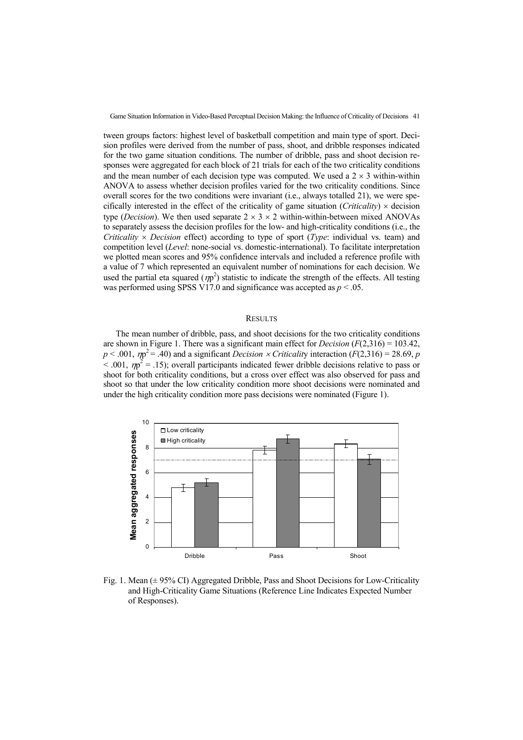tween groups factors: highest level of basketball competition and main type of sport. Decision profiles were derived from the number of pass, shoot, and dribble responses indicated for the two game situation conditions. The number of dribble, pass and shoot decision responses were aggregated for each block of 21 trials for each of the two criticality conditions and the mean number of each decision type was computed. We used a  $2 \times 3$  within-within ANOVA to assess whether decision profiles varied for the two criticality conditions. Since overall scores for the two conditions were invariant (i.e., always totalled 21), we were specifically interested in the effect of the criticality of game situation (*Criticality*)  $\times$  decision type (*Decision*). We then used separate  $2 \times 3 \times 2$  within-within-between mixed ANOVAs to separately assess the decision profiles for the low- and high-criticality conditions (i.e., the *Criticality × Decision* effect) according to type of sport (*Type*: individual vs. team) and competition level (*Level*: none-social vs. domestic-international). To facilitate interpretation we plotted mean scores and 95% confidence intervals and included a reference profile with a value of 7 which represented an equivalent number of nominations for each decision. We used the partial eta squared  $(\eta p^2)$  statistic to indicate the strength of the effects. All testing was performed using SPSS V17.0 and significance was accepted as  $p < .05$ .

#### **RESULTS**

The mean number of dribble, pass, and shoot decisions for the two criticality conditions are shown in Figure 1. There was a significant main effect for *Decision* (*F*(2,316) = 103.42,  $p < .001$ ,  $\eta p^2 = .40$ ) and a significant *Decision × Criticality* interaction (*F*(2,316) = 28.69, *p*  $<$  001,  $\eta p^2$  = .15); overall participants indicated fewer dribble decisions relative to pass or shoot for both criticality conditions, but a cross over effect was also observed for pass and shoot so that under the low criticality condition more shoot decisions were nominated and under the high criticality condition more pass decisions were nominated (Figure 1).



Fig. 1. Mean (± 95% CI) Aggregated Dribble, Pass and Shoot Decisions for Low-Criticality and High-Criticality Game Situations (Reference Line Indicates Expected Number of Responses).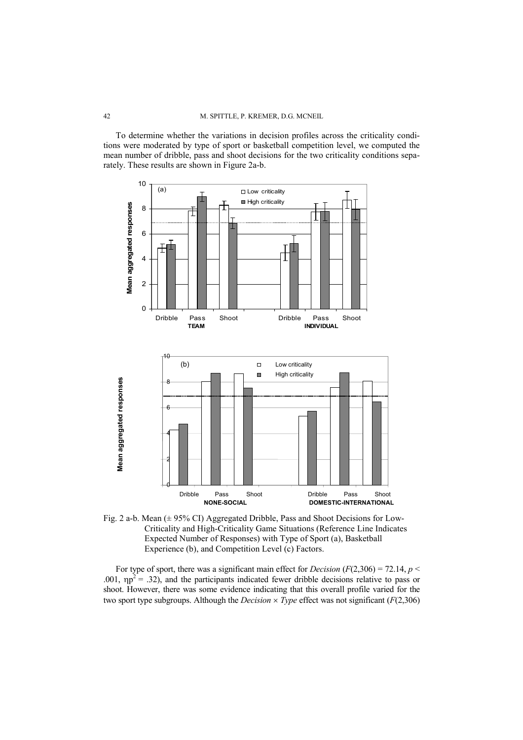To determine whether the variations in decision profiles across the criticality conditions were moderated by type of sport or basketball competition level, we computed the mean number of dribble, pass and shoot decisions for the two criticality conditions separately. These results are shown in Figure 2a-b.



Fig. 2 a-b. Mean (± 95% CI) Aggregated Dribble, Pass and Shoot Decisions for Low-Criticality and High-Criticality Game Situations (Reference Line Indicates Expected Number of Responses) with Type of Sport (a), Basketball Experience (b), and Competition Level (c) Factors.

For type of sport, there was a significant main effect for *Decision* ( $F(2,306) = 72.14$ ,  $p \le$ .001,  $np^2$  = .32), and the participants indicated fewer dribble decisions relative to pass or shoot. However, there was some evidence indicating that this overall profile varied for the two sport type subgroups. Although the *Decision* × *Type* effect was not significant (*F*(2,306)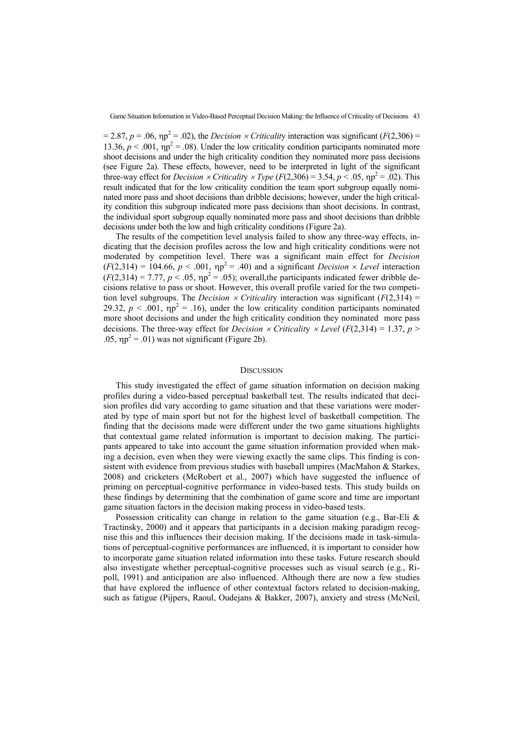$= 2.87, p = .06, \eta p^2 = .02$ ), the *Decision × Criticality* interaction was significant (*F*(2,306) = 13.36,  $p < .001$ ,  $np^2 = .08$ ). Under the low criticality condition participants nominated more shoot decisions and under the high criticality condition they nominated more pass decisions (see Figure 2a). These effects, however, need to be interpreted in light of the significant three-way effect for *Decision*  $\times$  *Criticality*  $\times$  *Type* (*F*(2,306) = 3.54, *p* < .05,  $np^2$  = .02). This result indicated that for the low criticality condition the team sport subgroup equally nominated more pass and shoot decisions than dribble decisions; however, under the high criticality condition this subgroup indicated more pass decisions than shoot decisions. In contrast, the individual sport subgroup equally nominated more pass and shoot decisions than dribble decisions under both the low and high criticality conditions (Figure 2a).

The results of the competition level analysis failed to show any three-way effects, indicating that the decision profiles across the low and high criticality conditions were not moderated by competition level. There was a significant main effect for *Decision*  $(F(2,314) = 104.66, p < .001, \eta p^2 = .40)$  and a significant *Decision* × *Level* interaction  $(F(2,314) = 7.77, p < .05, \eta p^2 = .05)$ ; overall, the participants indicated fewer dribble decisions relative to pass or shoot. However, this overall profile varied for the two competition level subgroups. The *Decision × Criticality* interaction was significant ( $F(2,314) =$ 29.32,  $p < .001$ ,  $\eta p^2 = .16$ ), under the low criticality condition participants nominated more shoot decisions and under the high criticality condition they nominated more pass decisions. The three-way effect for *Decision*  $\times$  *Criticality*  $\times$  *Level* (*F*(2,314) = 1.37, *p* > .05,  $np^2 = 0.01$ ) was not significant (Figure 2b).

## **DISCUSSION**

This study investigated the effect of game situation information on decision making profiles during a video-based perceptual basketball test. The results indicated that decision profiles did vary according to game situation and that these variations were moderated by type of main sport but not for the highest level of basketball competition. The finding that the decisions made were different under the two game situations highlights that contextual game related information is important to decision making. The participants appeared to take into account the game situation information provided when making a decision, even when they were viewing exactly the same clips. This finding is consistent with evidence from previous studies with baseball umpires (MacMahon & Starkes, 2008) and cricketers (McRobert et al., 2007) which have suggested the influence of priming on perceptual-cognitive performance in video-based tests. This study builds on these findings by determining that the combination of game score and time are important game situation factors in the decision making process in video-based tests.

Possession criticality can change in relation to the game situation (e.g., Bar-Eli & Tractinsky, 2000) and it appears that participants in a decision making paradigm recognise this and this influences their decision making. If the decisions made in task-simulations of perceptual-cognitive performances are influenced, it is important to consider how to incorporate game situation related information into these tasks. Future research should also investigate whether perceptual-cognitive processes such as visual search (e.g., Ripoll, 1991) and anticipation are also influenced. Although there are now a few studies that have explored the influence of other contextual factors related to decision-making, such as fatigue (Pijpers, Raoul, Oudejans & Bakker, 2007), anxiety and stress (McNeil,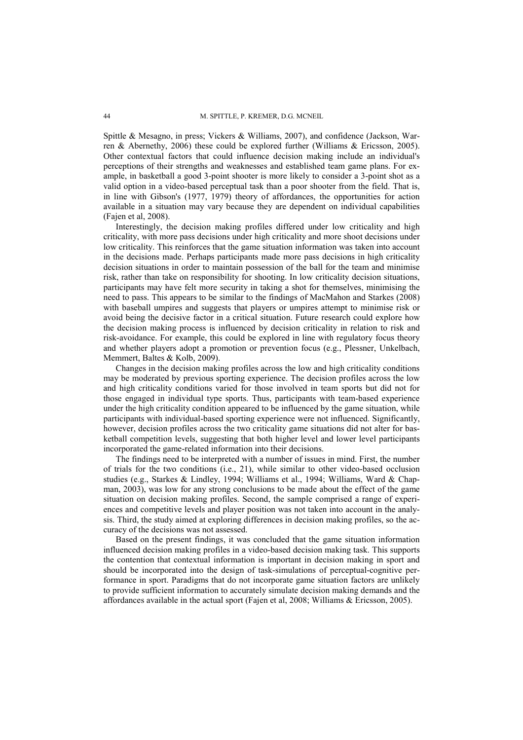Spittle & Mesagno, in press; Vickers & Williams, 2007), and confidence (Jackson, Warren & Abernethy, 2006) these could be explored further (Williams & Ericsson, 2005). Other contextual factors that could influence decision making include an individual's perceptions of their strengths and weaknesses and established team game plans. For example, in basketball a good 3-point shooter is more likely to consider a 3-point shot as a valid option in a video-based perceptual task than a poor shooter from the field. That is, in line with Gibson's (1977, 1979) theory of affordances, the opportunities for action available in a situation may vary because they are dependent on individual capabilities (Fajen et al, 2008).

Interestingly, the decision making profiles differed under low criticality and high criticality, with more pass decisions under high criticality and more shoot decisions under low criticality. This reinforces that the game situation information was taken into account in the decisions made. Perhaps participants made more pass decisions in high criticality decision situations in order to maintain possession of the ball for the team and minimise risk, rather than take on responsibility for shooting. In low criticality decision situations, participants may have felt more security in taking a shot for themselves, minimising the need to pass. This appears to be similar to the findings of MacMahon and Starkes (2008) with baseball umpires and suggests that players or umpires attempt to minimise risk or avoid being the decisive factor in a critical situation. Future research could explore how the decision making process is influenced by decision criticality in relation to risk and risk-avoidance. For example, this could be explored in line with regulatory focus theory and whether players adopt a promotion or prevention focus (e.g., Plessner, Unkelbach, Memmert, Baltes & Kolb, 2009).

Changes in the decision making profiles across the low and high criticality conditions may be moderated by previous sporting experience. The decision profiles across the low and high criticality conditions varied for those involved in team sports but did not for those engaged in individual type sports. Thus, participants with team-based experience under the high criticality condition appeared to be influenced by the game situation, while participants with individual-based sporting experience were not influenced. Significantly, however, decision profiles across the two criticality game situations did not alter for basketball competition levels, suggesting that both higher level and lower level participants incorporated the game-related information into their decisions.

The findings need to be interpreted with a number of issues in mind. First, the number of trials for the two conditions (i.e., 21), while similar to other video-based occlusion studies (e.g., Starkes & Lindley, 1994; Williams et al., 1994; Williams, Ward & Chapman, 2003), was low for any strong conclusions to be made about the effect of the game situation on decision making profiles. Second, the sample comprised a range of experiences and competitive levels and player position was not taken into account in the analysis. Third, the study aimed at exploring differences in decision making profiles, so the accuracy of the decisions was not assessed.

Based on the present findings, it was concluded that the game situation information influenced decision making profiles in a video-based decision making task. This supports the contention that contextual information is important in decision making in sport and should be incorporated into the design of task-simulations of perceptual-cognitive performance in sport. Paradigms that do not incorporate game situation factors are unlikely to provide sufficient information to accurately simulate decision making demands and the affordances available in the actual sport (Fajen et al, 2008; Williams & Ericsson, 2005).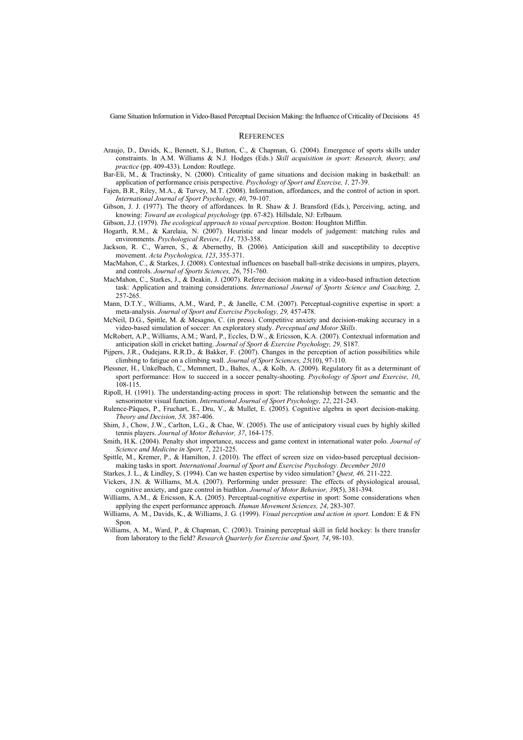#### **REFERENCES**

- Araujo, D., Davids, K., Bennett, S.J., Button, C., & Chapman, G. (2004). Emergence of sports skills under constraints. In A.M. Williams & N.J. Hodges (Eds.) *Skill acquisition in sport: Research, theory, and practice* (pp. 409-433). London: Routlege.
- Bar-Eli, M., & Tractinsky, N. (2000). Criticality of game situations and decision making in basketball: an application of performance crisis perspective. *Psychology of Sport and Exercise, 1,* 27-39.
- Fajen, B.R., Riley, M.A., & Turvey, M.T. (2008). Information, affordances, and the control of action in sport. *International Journal of Sport Psychology, 40*, 79-107.
- Gibson, J. J. (1977). The theory of affordances. In R. Shaw & J. Bransford (Eds.), Perceiving, acting, and knowing: *Toward an ecological psychology* (pp. 67-82). Hillsdale, NJ: Erlbaum.

Gibson, J.J. (1979). *The ecological approach to visual perception*. Boston: Houghton Mifflin.

- Hogarth, R.M., & Karelaia, N. (2007). Heuristic and linear models of judgement: matching rules and environments. *Psychological Review, 114*, 733-358.
- Jackson, R. C., Warren, S., & Abernethy, B. (2006). Anticipation skill and susceptibility to deceptive movement. *Acta Psychologica, 123*, 355-371.
- MacMahon, C., & Starkes, J. (2008). Contextual influences on baseball ball-strike decisions in umpires, players, and controls. *Journal of Sports Sciences, 26*, 751-760.
- MacMahon, C., Starkes, J., & Deakin, J. (2007). Referee decision making in a video-based infraction detection task: Application and training considerations. *International Journal of Sports Science and Coaching, 2*, 257-265.
- Mann, D.T.Y., Williams, A.M., Ward, P., & Janelle, C.M. (2007). Perceptual-cognitive expertise in sport: a meta-analysis. *Journal of Sport and Exercise Psychology, 29,* 457-478.
- McNeil, D.G., Spittle, M. & Mesagno, C. (in press). Competitive anxiety and decision-making accuracy in a video-based simulation of soccer: An exploratory study. *Perceptual and Motor Skills*.
- McRobert, A.P., Williams, A.M.; Ward, P., Eccles, D.W., & Ericsson, K.A. (2007). Contextual information and anticipation skill in cricket batting. *Journal of Sport & Exercise Psychology, 29,* S187.
- Pijpers, J.R., Oudejans, R.R.D., & Bakker, F. (2007). Changes in the perception of action possibilities while climbing to fatigue on a climbing wall. *Journal of Sport Sciences, 25*(10), 97-110.
- Plessner, H., Unkelbach, C., Memmert, D., Baltes, A., & Kolb, A. (2009). Regulatory fit as a determinant of sport performance: How to succeed in a soccer penalty-shooting. *Psychology of Sport and Exercise, 10*, 108-115.
- Ripoll, H. (1991). The understanding-acting process in sport: The relationship between the semantic and the sensorimotor visual function. *International Journal of Sport Psychology, 22*, 221-243.
- Rulence-Pâques, P., Fruchart, E., Dru, V., & Mullet, E. (2005). Cognitive algebra in sport decision-making. *Theory and Decision, 58,* 387-406.
- Shim, J., Chow, J.W., Carlton, L.G., & Chae, W. (2005). The use of anticipatory visual cues by highly skilled tennis players. *Journal of Motor Behavior, 37*, 164-175.
- Smith, H.K. (2004). Penalty shot importance, success and game context in international water polo. *Journal of Science and Medicine in Sport, 7*, 221-225.
- Spittle, M., Kremer, P., & Hamilton, J. (2010). The effect of screen size on video-based perceptual decisionmaking tasks in sport. *International Journal of Sport and Exercise Psychology. December 2010*
- Starkes, J. L., & Lindley, S. (1994). Can we hasten expertise by video simulation? *Quest, 46,* 211-222.
- Vickers, J.N. & Williams, M.A. (2007). Performing under pressure: The effects of physiological arousal, cognitive anxiety, and gaze control in biathlon. *Journal of Motor Behavior, 39*(5), 381-394.
- Williams, A.M., & Ericsson, K.A. (2005). Perceptual-cognitive expertise in sport: Some considerations when applying the expert performance approach. *Human Movement Sciences, 24*, 283-307.
- Williams, A. M., Davids, K., & Williams, J. G. (1999). *Visual perception and action in sport.* London: E & FN Spon.
- Williams, A. M., Ward, P., & Chapman, C. (2003). Training perceptual skill in field hockey: Is there transfer from laboratory to the field? *Research Quarterly for Exercise and Sport, 74*, 98-103.